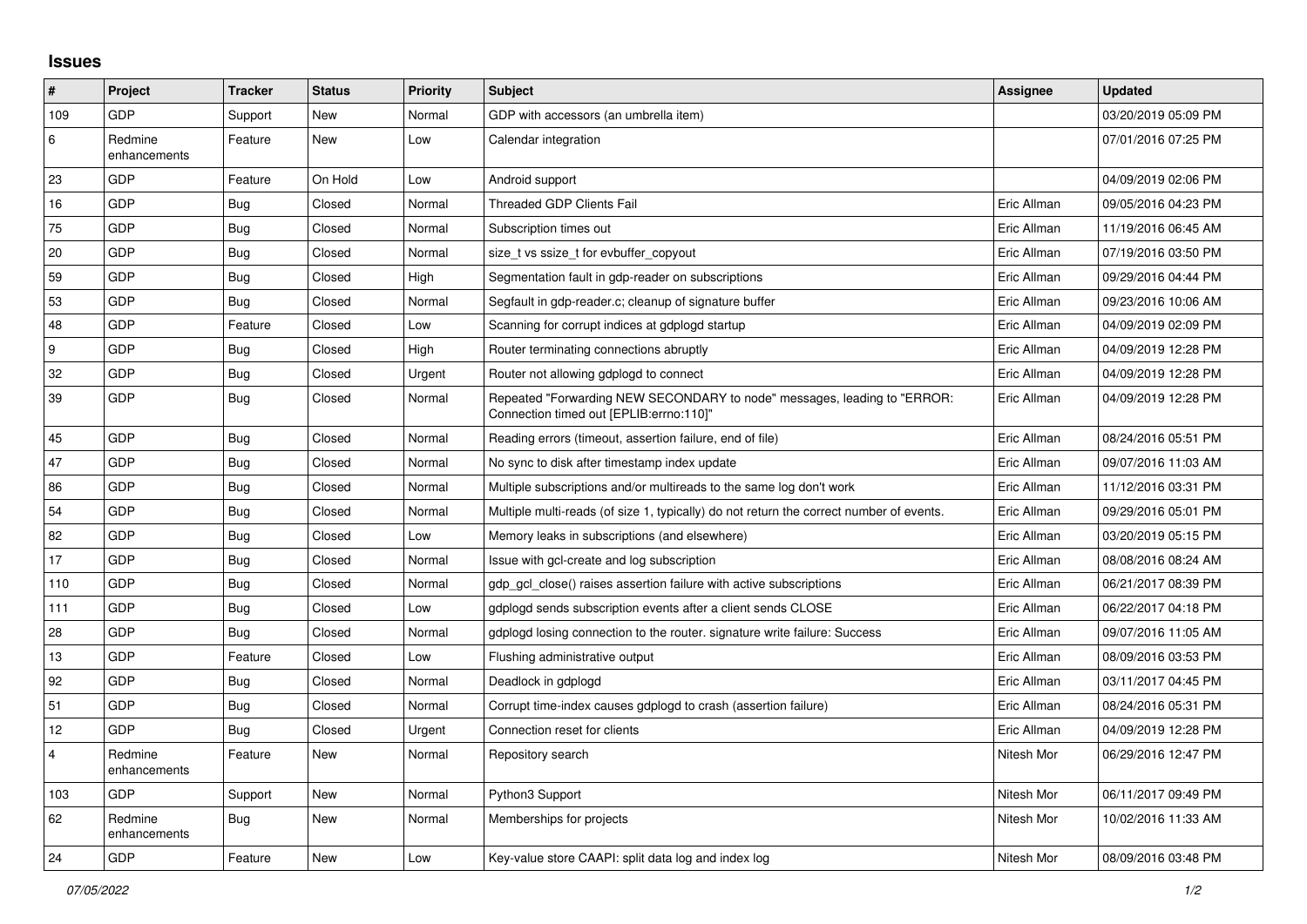## **Issues**

| #              | Project                 | <b>Tracker</b> | <b>Status</b> | <b>Priority</b> | <b>Subject</b>                                                                                                      | Assignee    | <b>Updated</b>      |
|----------------|-------------------------|----------------|---------------|-----------------|---------------------------------------------------------------------------------------------------------------------|-------------|---------------------|
| 109            | GDP                     | Support        | New           | Normal          | GDP with accessors (an umbrella item)                                                                               |             | 03/20/2019 05:09 PM |
| 6              | Redmine<br>enhancements | Feature        | <b>New</b>    | Low             | Calendar integration                                                                                                |             | 07/01/2016 07:25 PM |
| 23             | GDP                     | Feature        | On Hold       | Low             | Android support                                                                                                     |             | 04/09/2019 02:06 PM |
| 16             | <b>GDP</b>              | <b>Bug</b>     | Closed        | Normal          | <b>Threaded GDP Clients Fail</b>                                                                                    | Eric Allman | 09/05/2016 04:23 PM |
| 75             | GDP                     | <b>Bug</b>     | Closed        | Normal          | Subscription times out                                                                                              | Eric Allman | 11/19/2016 06:45 AM |
| 20             | <b>GDP</b>              | <b>Bug</b>     | Closed        | Normal          | size_t vs ssize_t for evbuffer_copyout                                                                              | Eric Allman | 07/19/2016 03:50 PM |
| 59             | GDP                     | <b>Bug</b>     | Closed        | High            | Segmentation fault in gdp-reader on subscriptions                                                                   | Eric Allman | 09/29/2016 04:44 PM |
| 53             | GDP                     | <b>Bug</b>     | Closed        | Normal          | Segfault in gdp-reader.c; cleanup of signature buffer                                                               | Eric Allman | 09/23/2016 10:06 AM |
| 48             | <b>GDP</b>              | Feature        | Closed        | Low             | Scanning for corrupt indices at gdplogd startup                                                                     | Eric Allman | 04/09/2019 02:09 PM |
| 9              | GDP                     | <b>Bug</b>     | Closed        | High            | Router terminating connections abruptly                                                                             | Eric Allman | 04/09/2019 12:28 PM |
| 32             | GDP                     | <b>Bug</b>     | Closed        | Urgent          | Router not allowing gdplogd to connect                                                                              | Eric Allman | 04/09/2019 12:28 PM |
| 39             | <b>GDP</b>              | <b>Bug</b>     | Closed        | Normal          | Repeated "Forwarding NEW SECONDARY to node" messages, leading to "ERROR:<br>Connection timed out [EPLIB:errno:110]" | Eric Allman | 04/09/2019 12:28 PM |
| 45             | GDP                     | Bug            | Closed        | Normal          | Reading errors (timeout, assertion failure, end of file)                                                            | Eric Allman | 08/24/2016 05:51 PM |
| 47             | GDP                     | Bug            | Closed        | Normal          | No sync to disk after timestamp index update                                                                        | Eric Allman | 09/07/2016 11:03 AM |
| 86             | GDP                     | <b>Bug</b>     | Closed        | Normal          | Multiple subscriptions and/or multireads to the same log don't work                                                 | Eric Allman | 11/12/2016 03:31 PM |
| 54             | <b>GDP</b>              | <b>Bug</b>     | Closed        | Normal          | Multiple multi-reads (of size 1, typically) do not return the correct number of events.                             | Eric Allman | 09/29/2016 05:01 PM |
| 82             | GDP                     | Bug            | Closed        | Low             | Memory leaks in subscriptions (and elsewhere)                                                                       | Eric Allman | 03/20/2019 05:15 PM |
| 17             | GDP                     | Bug            | Closed        | Normal          | Issue with gcl-create and log subscription                                                                          | Eric Allman | 08/08/2016 08:24 AM |
| 110            | GDP                     | Bug            | Closed        | Normal          | gdp gcl close() raises assertion failure with active subscriptions                                                  | Eric Allman | 06/21/2017 08:39 PM |
| 111            | GDP                     | Bug            | Closed        | Low             | gdplogd sends subscription events after a client sends CLOSE                                                        | Eric Allman | 06/22/2017 04:18 PM |
| 28             | <b>GDP</b>              | <b>Bug</b>     | Closed        | Normal          | gdplogd losing connection to the router, signature write failure: Success                                           | Eric Allman | 09/07/2016 11:05 AM |
| 13             | GDP                     | Feature        | Closed        | Low             | Flushing administrative output                                                                                      | Eric Allman | 08/09/2016 03:53 PM |
| 92             | GDP                     | <b>Bug</b>     | Closed        | Normal          | Deadlock in gdplogd                                                                                                 | Eric Allman | 03/11/2017 04:45 PM |
| 51             | GDP                     | Bug            | Closed        | Normal          | Corrupt time-index causes gdplogd to crash (assertion failure)                                                      | Eric Allman | 08/24/2016 05:31 PM |
| 12             | GDP                     | Bug            | Closed        | Urgent          | Connection reset for clients                                                                                        | Eric Allman | 04/09/2019 12:28 PM |
| $\overline{4}$ | Redmine<br>enhancements | Feature        | <b>New</b>    | Normal          | Repository search                                                                                                   | Nitesh Mor  | 06/29/2016 12:47 PM |
| 103            | <b>GDP</b>              | Support        | <b>New</b>    | Normal          | Python3 Support                                                                                                     | Nitesh Mor  | 06/11/2017 09:49 PM |
| 62             | Redmine<br>enhancements | Bug            | New           | Normal          | Memberships for projects                                                                                            | Nitesh Mor  | 10/02/2016 11:33 AM |
| 24             | GDP                     | Feature        | New           | Low             | Key-value store CAAPI: split data log and index log                                                                 | Nitesh Mor  | 08/09/2016 03:48 PM |